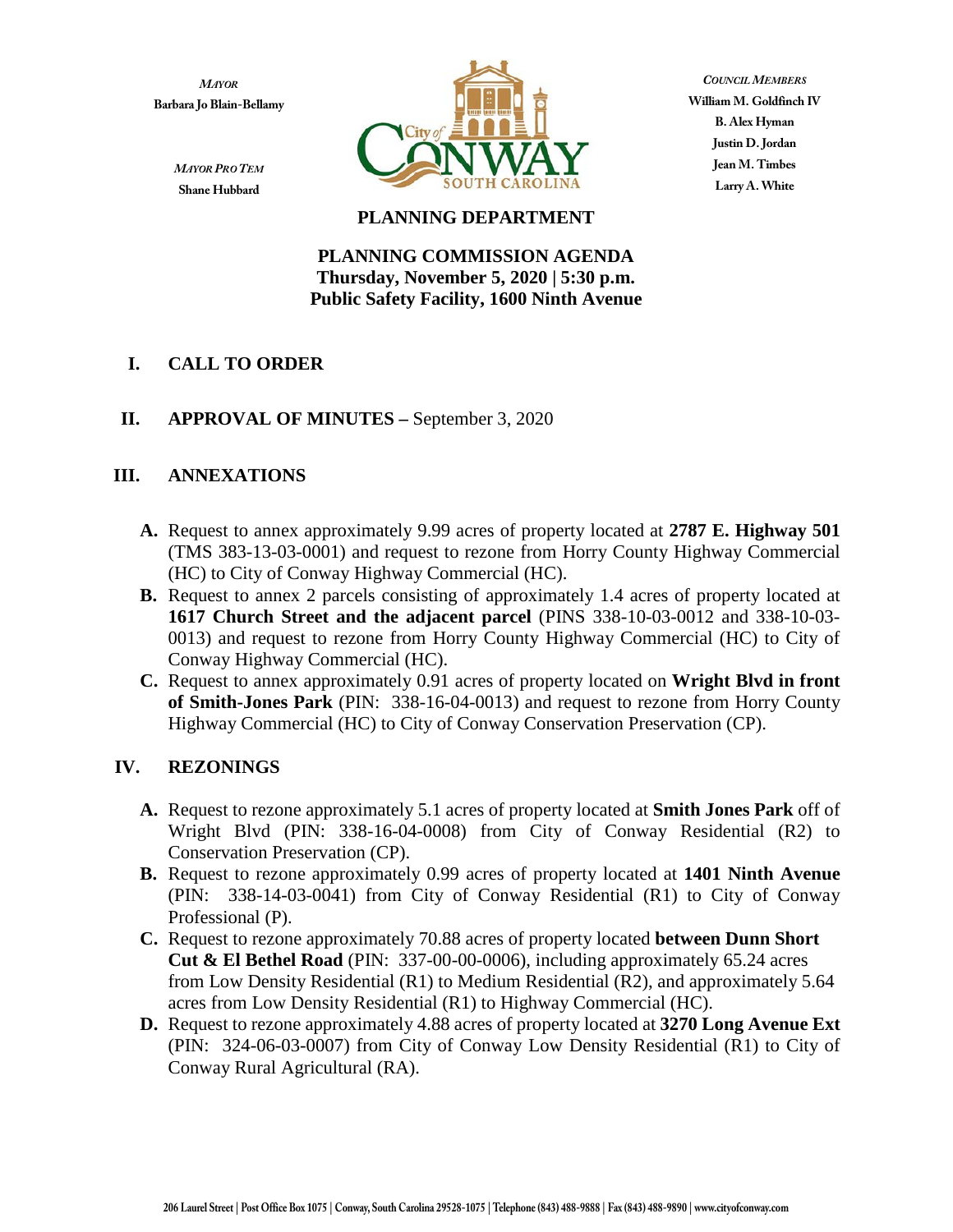*MAYOR* **Barbara Jo Blain-Bellamy**



*COUNCIL MEMBERS* **William M. Goldfinch IV B. Alex Hyman Justin D. Jordan Jean M. Timbes Larry A. White**

#### *MAYOR PRO TEM* **Shane Hubbard**

## **PLANNING DEPARTMENT**

#### **PLANNING COMMISSION AGENDA Thursday, November 5, 2020 | 5:30 p.m. Public Safety Facility, 1600 Ninth Avenue**

# **I. CALL TO ORDER**

# **II. APPROVAL OF MINUTES –** September 3, 2020

# **III. ANNEXATIONS**

- **A.** Request to annex approximately 9.99 acres of property located at **2787 E. Highway 501** (TMS 383-13-03-0001) and request to rezone from Horry County Highway Commercial (HC) to City of Conway Highway Commercial (HC).
- **B.** Request to annex 2 parcels consisting of approximately 1.4 acres of property located at **1617 Church Street and the adjacent parcel** (PINS 338-10-03-0012 and 338-10-03- 0013) and request to rezone from Horry County Highway Commercial (HC) to City of Conway Highway Commercial (HC).
- **C.** Request to annex approximately 0.91 acres of property located on **Wright Blvd in front of Smith-Jones Park** (PIN: 338-16-04-0013) and request to rezone from Horry County Highway Commercial (HC) to City of Conway Conservation Preservation (CP).

## **IV. REZONINGS**

- **A.** Request to rezone approximately 5.1 acres of property located at **Smith Jones Park** off of Wright Blvd (PIN: 338-16-04-0008) from City of Conway Residential (R2) to Conservation Preservation (CP).
- **B.** Request to rezone approximately 0.99 acres of property located at **1401 Ninth Avenue** (PIN: 338-14-03-0041) from City of Conway Residential (R1) to City of Conway Professional (P).
- **C.** Request to rezone approximately 70.88 acres of property located **between Dunn Short Cut & El Bethel Road** (PIN: 337-00-00-0006), including approximately 65.24 acres from Low Density Residential (R1) to Medium Residential (R2), and approximately 5.64 acres from Low Density Residential (R1) to Highway Commercial (HC).
- **D.** Request to rezone approximately 4.88 acres of property located at **3270 Long Avenue Ext** (PIN: 324-06-03-0007) from City of Conway Low Density Residential (R1) to City of Conway Rural Agricultural (RA).